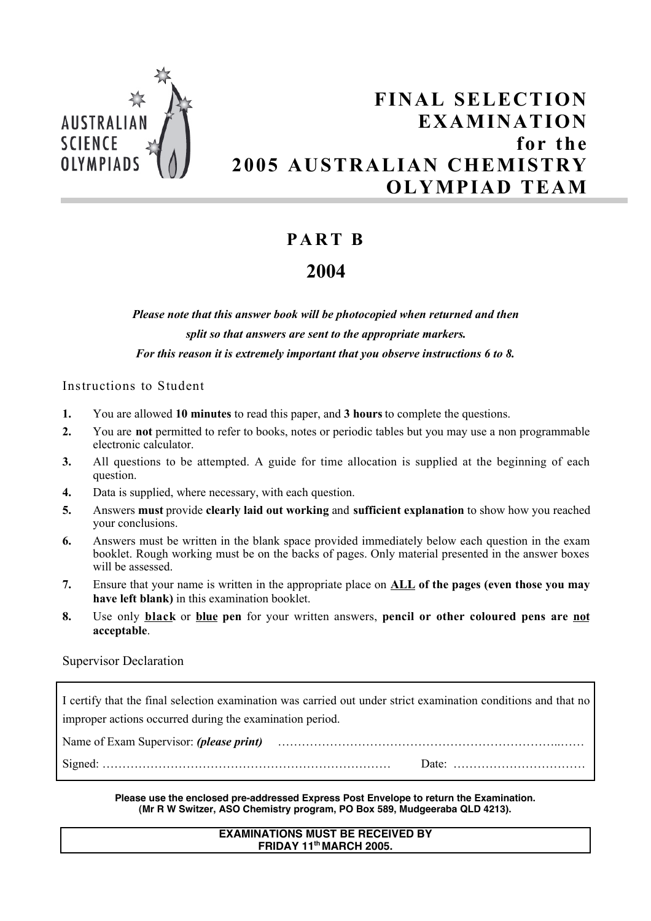

# **FINAL SELECTION EXAMINATION for the 2005 AUSTRALIAN CHEMISTRY OLYMPIAD TEAM**

## **PA R T B**

## **2004**

*Please note that this answer book will be photocopied when returned and then split so that answers are sent to the appropriate markers. For this reason it is extremely important that you observe instructions 6 to 8.*

Instructions to Student

- **1.** You are allowed **10 minutes** to read this paper, and **3 hours** to complete the questions.
- **2.** You are **not** permitted to refer to books, notes or periodic tables but you may use a non programmable electronic calculator.
- **3.** All questions to be attempted. A guide for time allocation is supplied at the beginning of each question.
- **4.** Data is supplied, where necessary, with each question.
- **5.** Answers **must** provide **clearly laid out working** and **sufficient explanation** to show how you reached your conclusions.
- **6.** Answers must be written in the blank space provided immediately below each question in the exam booklet. Rough working must be on the backs of pages. Only material presented in the answer boxes will be assessed.
- **7.** Ensure that your name is written in the appropriate place on **ALL of the pages (even those you may have left blank)** in this examination booklet.
- **8.** Use only **black** or **blue pen** for your written answers, **pencil or other coloured pens are not acceptable**.

### Supervisor Declaration

I certify that the final selection examination was carried out under strict examination conditions and that no improper actions occurred during the examination period.

| Name of Exam Supervisor: <i>(please print)</i> |  |
|------------------------------------------------|--|
|                                                |  |

#### **Please use the enclosed pre-addressed Express Post Envelope to return the Examination. (Mr R W Switzer, ASO Chemistry program, PO Box 589, Mudgeeraba QLD 4213).**

#### **EXAMINATIONS MUST BE RECEIVED BY FRIDAY 11th MARCH 2005.**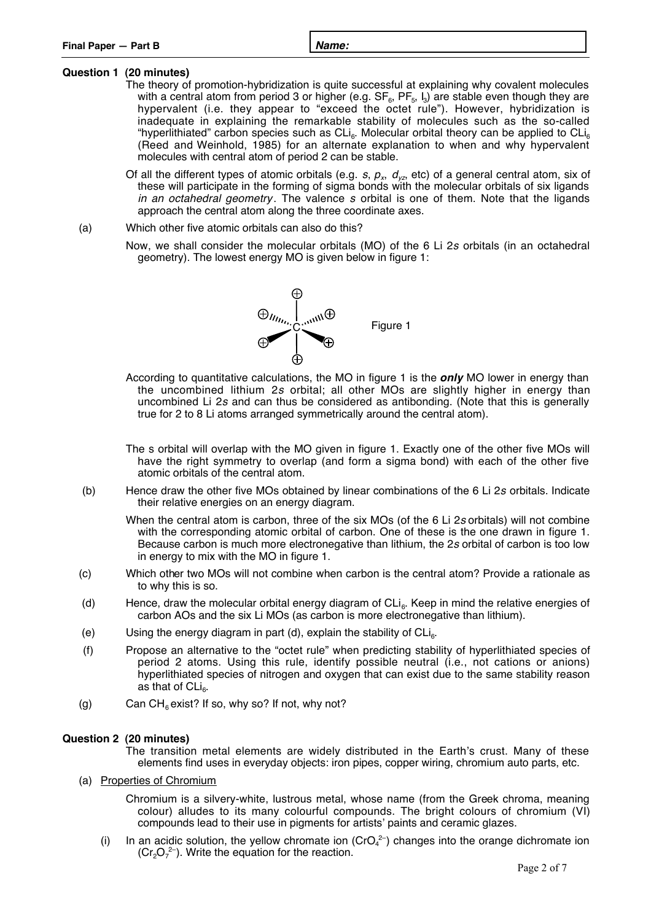#### **Question 1 (20 minutes)**

- The theory of promotion-hybridization is quite successful at explaining why covalent molecules with a central atom from period 3 or higher (e.g.  $SF<sub>6</sub>$ ,  $PF<sub>5</sub>$ , I<sub>3</sub>) are stable even though they are hypervalent (i.e. they appear to "exceed the octet rule"). However, hybridization is inadequate in explaining the remarkable stability of molecules such as the so-called "hyperlithiated" carbon species such as  $CL<sub>6</sub>$ . Molecular orbital theory can be applied to  $CL<sub>6</sub>$ (Reed and Weinhold, 1985) for an alternate explanation to when and why hypervalent molecules with central atom of period 2 can be stable.
- Of all the different types of atomic orbitals (e.g. s,  $p_x$ ,  $d_y$ , etc) of a general central atom, six of these will participate in the forming of sigma bonds with the molecular orbitals of six ligands in an octahedral geometry. The valence s orbital is one of them. Note that the ligands approach the central atom along the three coordinate axes.
- (a) Which other five atomic orbitals can also do this?
	- Now, we shall consider the molecular orbitals (MO) of the 6 Li 2<sup>s</sup> orbitals (in an octahedral geometry). The lowest energy MO is given below in figure 1:



- According to quantitative calculations, the MO in figure 1 is the **only** MO lower in energy than the uncombined lithium 2<sup>s</sup> orbital; all other MOs are slightly higher in energy than uncombined Li 2<sup>s</sup> and can thus be considered as antibonding. (Note that this is generally true for 2 to 8 Li atoms arranged symmetrically around the central atom).
- The s orbital will overlap with the MO given in figure 1. Exactly one of the other five MOs will have the right symmetry to overlap (and form a sigma bond) with each of the other five atomic orbitals of the central atom.
- (b) Hence draw the other five MOs obtained by linear combinations of the 6 Li 2<sup>s</sup> orbitals. Indicate their relative energies on an energy diagram.
	- When the central atom is carbon, three of the six MOs (of the 6 Li 2s orbitals) will not combine with the corresponding atomic orbital of carbon. One of these is the one drawn in figure 1. Because carbon is much more electronegative than lithium, the 2<sup>s</sup> orbital of carbon is too low in energy to mix with the MO in figure 1.
- (c) Which other two MOs will not combine when carbon is the central atom? Provide a rationale as to why this is so.
- (d) Hence, draw the molecular orbital energy diagram of  $CL<sub>6</sub>$ . Keep in mind the relative energies of carbon AOs and the six Li MOs (as carbon is more electronegative than lithium).
- (e) Using the energy diagram in part (d), explain the stability of  $CLi<sub>6</sub>$ .
- (f) Propose an alternative to the "octet rule" when predicting stability of hyperlithiated species of period 2 atoms. Using this rule, identify possible neutral (i.e., not cations or anions) hyperlithiated species of nitrogen and oxygen that can exist due to the same stability reason as that of  $CLi<sub>e</sub>$ .
- (g) Can  $CH_6$  exist? If so, why so? If not, why not?

#### **Question 2 (20 minutes)**

The transition metal elements are widely distributed in the Earth's crust. Many of these elements find uses in everyday objects: iron pipes, copper wiring, chromium auto parts, etc.

(a) Properties of Chromium

Chromium is a silvery-white, lustrous metal, whose name (from the Greek chroma, meaning colour) alludes to its many colourful compounds. The bright colours of chromium (VI) compounds lead to their use in pigments for artists' paints and ceramic glazes.

(i) In an acidic solution, the yellow chromate ion (CrO $_4$ <sup>2-</sup>) changes into the orange dichromate ion  $(Cr<sub>2</sub>O<sub>7</sub><sup>2-</sup>)$ . Write the equation for the reaction.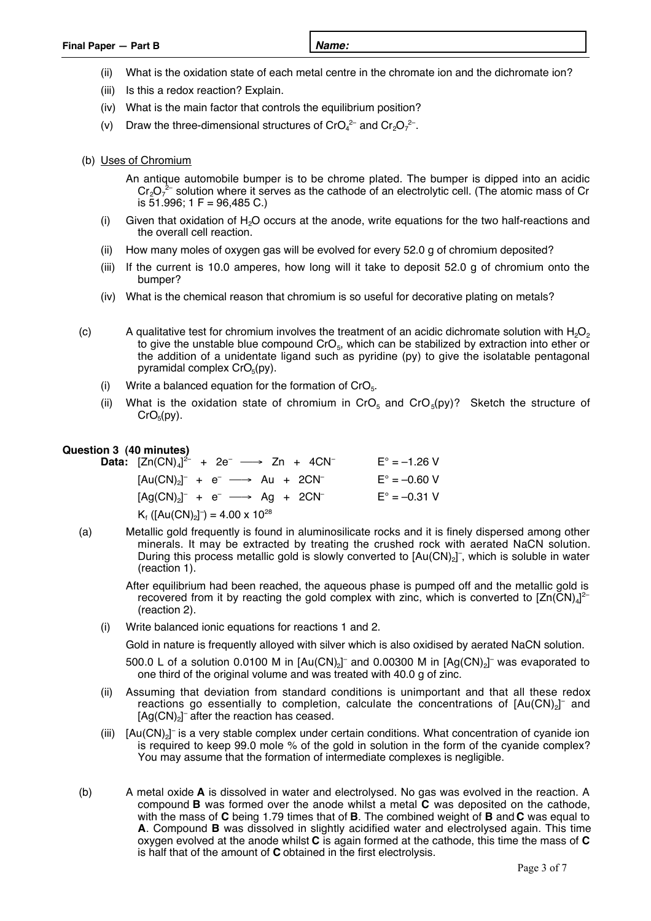- (ii) What is the oxidation state of each metal centre in the chromate ion and the dichromate ion?
- (iii) Is this a redox reaction? Explain.
- (iv) What is the main factor that controls the equilibrium position?
- (v) Draw the three-dimensional structures of CrO $_4^{2-}$  and Cr<sub>2</sub>O<sub>7</sub><sup>2-</sup>.
- (b) Uses of Chromium
	- An antique automobile bumper is to be chrome plated. The bumper is dipped into an acidic  $\text{Cr}_2\text{O}_7^{-2\text{-}}$  solution where it serves as the cathode of an electrolytic cell. (The atomic mass of Cr is 51.996; 1 F = 96,485 C.)
	- (i) Given that oxidation of  $H<sub>2</sub>O$  occurs at the anode, write equations for the two half-reactions and the overall cell reaction.
	- (ii) How many moles of oxygen gas will be evolved for every 52.0 g of chromium deposited?
	- (iii) If the current is 10.0 amperes, how long will it take to deposit 52.0 g of chromium onto the bumper?
	- (iv) What is the chemical reason that chromium is so useful for decorative plating on metals?
- (c) A qualitative test for chromium involves the treatment of an acidic dichromate solution with  $H_2O_2$ to give the unstable blue compound  $C_5$ , which can be stabilized by extraction into ether or the addition of a unidentate ligand such as pyridine (py) to give the isolatable pentagonal pyramidal complex  $CrO<sub>5</sub>(pv)$ .
	- (i) Write a balanced equation for the formation of  $CrO<sub>5</sub>$ .
	- (ii) What is the oxidation state of chromium in CrO<sub>5</sub> and CrO<sub>5</sub>(py)? Sketch the structure of  $CrO<sub>5</sub>(py)$ .

#### **Question 3 (40 minutes)**

**Data:**  $[Zn(CN)_4]^2$  + 2e<sup>-</sup>  $\longrightarrow$  Zn + 4CN<sup>-</sup> E° = -1.26 V  $[Au(CN)_2]^- + e^- \longrightarrow Au + 2CN^ E^\circ = -0.60 V$  $[Ag(CN)<sub>2</sub>]^- + e^- \longrightarrow Ag + 2CN^ E^{\circ} = -0.31 V$  $K_f$  ([Au(CN)<sub>2</sub>]<sup>-</sup>) = 4.00 x 10<sup>28</sup>

- (a) Metallic gold frequently is found in aluminosilicate rocks and it is finely dispersed among other minerals. It may be extracted by treating the crushed rock with aerated NaCN solution. During this process metallic gold is slowly converted to  $[Au(CN)_2]$ <sup>-</sup>, which is soluble in water (reaction 1).
	- After equilibrium had been reached, the aqueous phase is pumped off and the metallic gold is recovered from it by reacting the gold complex with zinc, which is converted to  $\mathsf{[Zn(CN)_4]}^{2-}$ (reaction 2).
	- (i) Write balanced ionic equations for reactions 1 and 2.

Gold in nature is frequently alloyed with silver which is also oxidised by aerated NaCN solution.

500.0 L of a solution 0.0100 M in  $[Au(CN)_2]^-$  and 0.00300 M in  $[Ag(CN)_2]^-$  was evaporated to one third of the original volume and was treated with 40.0 g of zinc.

- (ii) Assuming that deviation from standard conditions is unimportant and that all these redox reactions go essentially to completion, calculate the concentrations of  $\text{[Au(CN)}_{2}\text{]}$  and  $[Ag(CN)<sub>2</sub>]$ <sup>-</sup> after the reaction has ceased.
- (iii)  $[Au(CN)_2]$ <sup>-</sup> is a very stable complex under certain conditions. What concentration of cyanide ion is required to keep 99.0 mole % of the gold in solution in the form of the cyanide complex? You may assume that the formation of intermediate complexes is negligible.
- (b) A metal oxide **A** is dissolved in water and electrolysed. No gas was evolved in the reaction. A compound **B** was formed over the anode whilst a metal **C** was deposited on the cathode, with the mass of **C** being 1.79 times that of **B**. The combined weight of **B** and **C** was equal to **A**. Compound **B** was dissolved in slightly acidified water and electrolysed again. This time oxygen evolved at the anode whilst **C** is again formed at the cathode, this time the mass of **C** is half that of the amount of **C** obtained in the first electrolysis.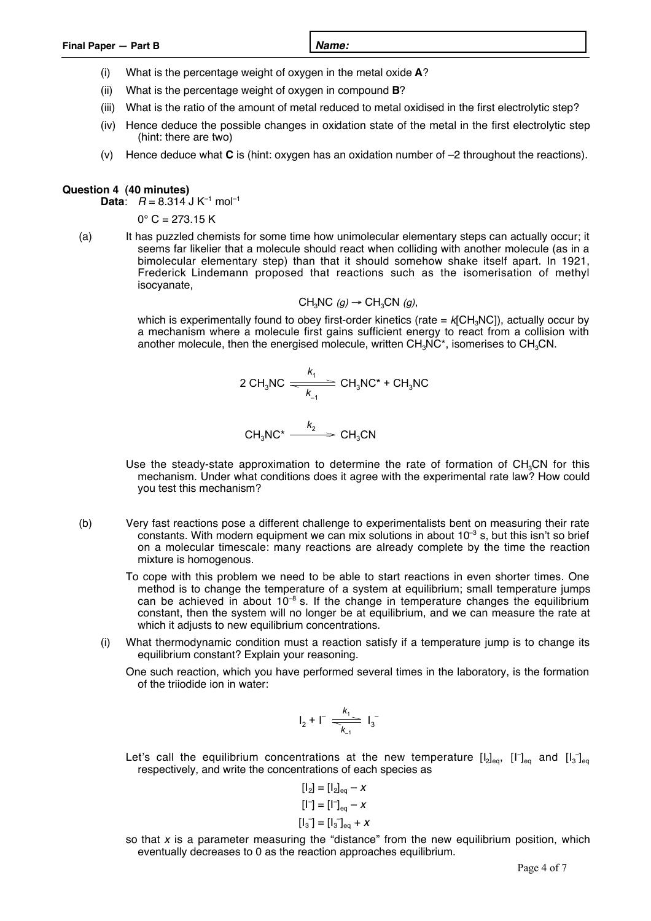| Final Paper - Part B | Name: |
|----------------------|-------|
|                      |       |

- (i) What is the percentage weight of oxygen in the metal oxide **A**?
- (ii) What is the percentage weight of oxygen in compound **B**?
- (iii) What is the ratio of the amount of metal reduced to metal oxidised in the first electrolytic step?
- (iv) Hence deduce the possible changes in oxidation state of the metal in the first electrolytic step (hint: there are two)
- (v) Hence deduce what **C** is (hint: oxygen has an oxidation number of –2 throughout the reactions).

#### **Question 4 (40 minutes)**

**Data:**  $R = 8.314$  J K<sup>-1</sup> mol<sup>-1</sup>

 $0^{\circ}$  C = 273.15 K

(a) It has puzzled chemists for some time how unimolecular elementary steps can actually occur; it seems far likelier that a molecule should react when colliding with another molecule (as in a bimolecular elementary step) than that it should somehow shake itself apart. In 1921, Frederick Lindemann proposed that reactions such as the isomerisation of methyl isocyanate,

CH<sub>3</sub>NC 
$$
(g) \rightarrow CH_3CN
$$
  $(g)$ ,

which is experimentally found to obey first-order kinetics (rate  $=$   $k[CH_3NC]$ ), actually occur by a mechanism where a molecule first gains sufficient energy to react from a collision with another molecule, then the energised molecule, written  $CH<sub>2</sub>NC<sup>*</sup>$ , isomerises to  $CH<sub>3</sub>CN$ .

2 CH<sub>3</sub>NC 
$$
\xrightarrow{k_1}
$$
 CH<sub>3</sub>NC<sup>\*</sup> + CH<sub>3</sub>NC  
CH<sub>3</sub>NC<sup>\*</sup>  $\xrightarrow{k_2}$  CH<sub>3</sub>CN

- Use the steady-state approximation to determine the rate of formation of  $CH_3CN$  for this mechanism. Under what conditions does it agree with the experimental rate law? How could you test this mechanism?
- (b) Very fast reactions pose a different challenge to experimentalists bent on measuring their rate constants. With modern equipment we can mix solutions in about  $10^{-3}$  s, but this isn't so brief on a molecular timescale: many reactions are already complete by the time the reaction mixture is homogenous.
	- To cope with this problem we need to be able to start reactions in even shorter times. One method is to change the temperature of a system at equilibrium; small temperature jumps can be achieved in about  $10^{-8}$  s. If the change in temperature changes the equilibrium constant, then the system will no longer be at equilibrium, and we can measure the rate at which it adjusts to new equilibrium concentrations.
	- (i) What thermodynamic condition must a reaction satisfy if a temperature jump is to change its equilibrium constant? Explain your reasoning.
		- One such reaction, which you have performed several times in the laboratory, is the formation of the triiodide ion in water:

$$
I_2 + I^- \stackrel{k_1}{\underset{k_{-1}}{\underbrace{\phantom{a}}}} I_3^-
$$

Let's call the equilibrium concentrations at the new temperature  $[I_2]_{eq}$ ,  $[I^-]_{eq}$  and  $[I_3^-]_{eq}$ respectively, and write the concentrations of each species as

$$
\begin{aligned}\n\left[\begin{smallmatrix} 1_2 \end{smallmatrix}\right] &= \left[\begin{smallmatrix} 1_2 \end{smallmatrix}\right]_{\text{eq}} - X \\
\left[\begin{smallmatrix} 1 \end{smallmatrix}\right] &= \left[\begin{smallmatrix} 1 \end{smallmatrix}\right]_{\text{eq}} - X \\
\left[\begin{smallmatrix} 1_3 \end{smallmatrix}\right] &= \left[\begin{smallmatrix} 1_3 \end{smallmatrix}\right]_{\text{eq}} + X\n\end{aligned}
$$

so that  $x$  is a parameter measuring the "distance" from the new equilibrium position, which eventually decreases to 0 as the reaction approaches equilibrium.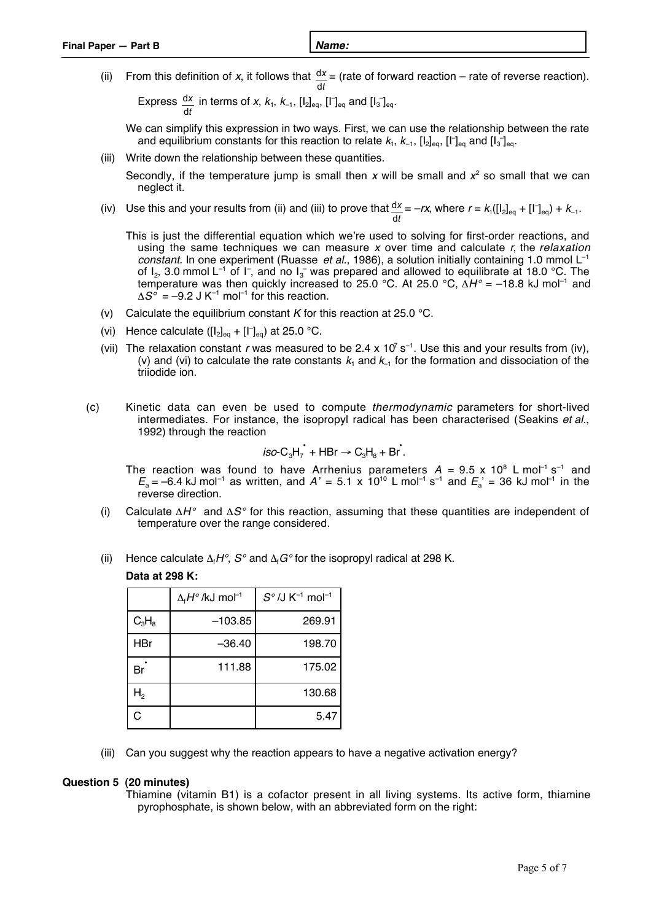(ii) From this definition of  $x$ , it follows that *t x* d  $\frac{dx}{dt}$  = (rate of forward reaction – rate of reverse reaction).

Express *t x*  $\frac{dx}{dt}$  in terms of x,  $k_1$ ,  $k_{-1}$ ,  $\left[\frac{1}{2}\right]_{eq}$ ,  $\left[\left[\begin{matrix}r \end{matrix}\right]_{eq}$  and  $\left[\begin{matrix}1_3 \end{matrix}\right]_{eq}$ .

We can simplify this expression in two ways. First, we can use the relationship between the rate and equilibrium constants for this reaction to relate  $k_1,\,k_{-1},\,[\mathsf{I}_2]_{\mathsf{eq}},\,[\mathsf{I}^\mathsf{-}]_{\mathsf{eq}}$  and  $[\mathsf{I}_3]_{\mathsf{eq}}.$ 

(iii) Write down the relationship between these quantities.

Secondly, if the temperature jump is small then x will be small and  $x^2$  so small that we can neglect it.

(iv) Use this and your results from (ii) and (iii) to prove that *t x*  $\frac{dx}{dt} = -rx$ , where  $r = k_1([[t_2]_{eq} + [t^-]_{eq}) + k_{-1}$ .

This is just the differential equation which we're used to solving for first-order reactions, and using the same techniques we can measure x over time and calculate  $r$ , the relaxation constant. In one experiment (Ruasse et al., 1986), a solution initially containing 1.0 mmol  $L^{-1}$ of  $I_2$ , 3.0 mmol L<sup>-1</sup> of I<sup>-</sup>, and no I<sub>3</sub><sup>-</sup> was prepared and allowed to equilibrate at 18.0 °C. The temperature was then quickly increased to 25.0 °C. At 25.0 °C,  $\Delta H^{\circ}$  = -18.8 kJ mol<sup>-1</sup> and  $\Delta S^{\circ}$  = –9.2 J K<sup>-1</sup> mol<sup>-1</sup> for this reaction.

- (v) Calculate the equilibrium constant K for this reaction at 25.0  $\degree$ C.
- (vi) Hence calculate  $( [I_2]_{eq} + [I^-]_{eq})$  at 25.0 °C.
- (vii) The relaxation constant r was measured to be 2.4 x 10<sup>7</sup> s<sup>-1</sup>. Use this and your results from (iv), (v) and (vi) to calculate the rate constants  $k_1$  and  $k_1$  for the formation and dissociation of the triiodide ion.
- (c) Kinetic data can even be used to compute thermodynamic parameters for short-lived intermediates. For instance, the isopropyl radical has been characterised (Seakins et al., 1992) through the reaction

$$
iso-C_3H_7 + HBr \rightarrow C_3H_8 + Br.
$$

The reaction was found to have Arrhenius parameters  $A = 9.5$  x 10<sup>8</sup> L mol<sup>-1</sup> s<sup>-1</sup> and  $E_{\rm a}$  = –6.4 kJ mol<sup>-1</sup> as written, and A' = 5.1 x 10<sup>10</sup> L mol<sup>-1</sup> s<sup>-1</sup> and  $E_{\rm a}$ ' = 36 kJ mol<sup>-1</sup> in the reverse direction.

- (i) Calculate  $\Delta H^{\circ}$  and  $\Delta S^{\circ}$  for this reaction, assuming that these quantities are independent of temperature over the range considered.
- (ii) Hence calculate  $\Delta_f H^{\circ}$ ,  $S^{\circ}$  and  $\Delta_f G^{\circ}$  for the isopropyl radical at 298 K.

#### **Data at 298 K:**

|                | $\Delta_f H^{\circ}/kJ$ mol <sup>-1</sup> | $S^{\circ}$ /J K <sup>-1</sup> mol <sup>-1</sup> |
|----------------|-------------------------------------------|--------------------------------------------------|
| $C_3H_8$       | $-103.85$                                 | 269.91                                           |
| <b>HBr</b>     | $-36.40$                                  | 198.70                                           |
| Br             | 111.88                                    | 175.02                                           |
| H <sub>2</sub> |                                           | 130.68                                           |
| C              |                                           | 5.47                                             |

(iii) Can you suggest why the reaction appears to have a negative activation energy?

#### **Question 5 (20 minutes)**

Thiamine (vitamin B1) is a cofactor present in all living systems. Its active form, thiamine pyrophosphate, is shown below, with an abbreviated form on the right: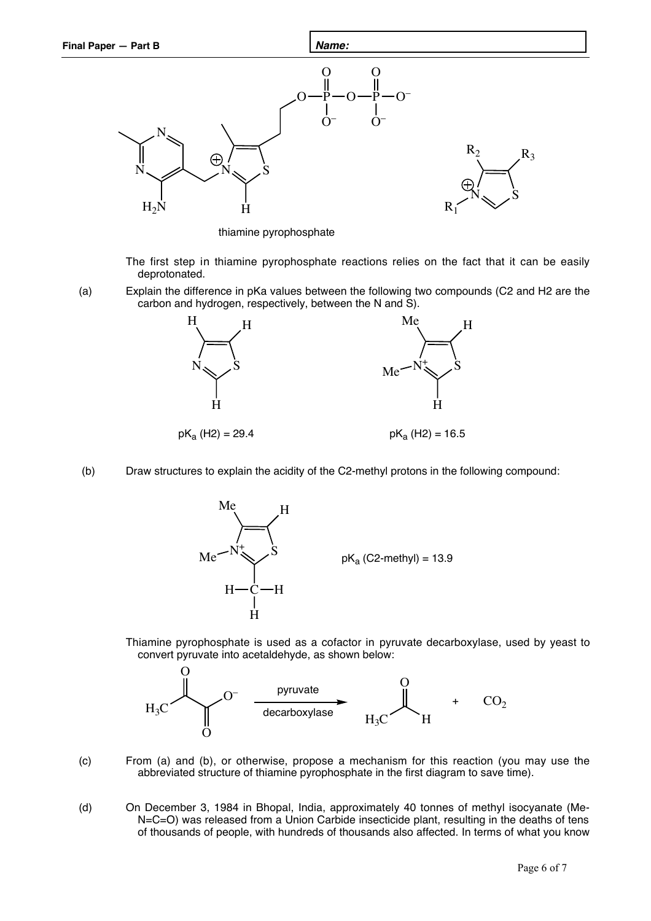

thiamine pyrophosphate

The first step in thiamine pyrophosphate reactions relies on the fact that it can be easily deprotonated.

(a) Explain the difference in pKa values between the following two compounds (C2 and H2 are the carbon and hydrogen, respectively, between the N and S).



(b) Draw structures to explain the acidity of the C2-methyl protons in the following compound:



Thiamine pyrophosphate is used as a cofactor in pyruvate decarboxylase, used by yeast to convert pyruvate into acetaldehyde, as shown below:



- (c) From (a) and (b), or otherwise, propose a mechanism for this reaction (you may use the abbreviated structure of thiamine pyrophosphate in the first diagram to save time).
- (d) On December 3, 1984 in Bhopal, India, approximately 40 tonnes of methyl isocyanate (Me-N=C=O) was released from a Union Carbide insecticide plant, resulting in the deaths of tens of thousands of people, with hundreds of thousands also affected. In terms of what you know